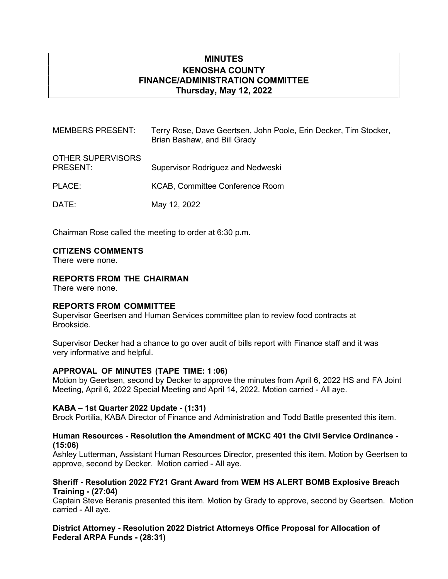# MINUTES KENOSHA COUNTY FINANCE/ADMINISTRATION COMMITTEE Thursday, May 12, 2022

| <b>MEMBERS PRESENT:</b>       | Terry Rose, Dave Geertsen, John Poole, Erin Decker, Tim Stocker,<br>Brian Bashaw, and Bill Grady |
|-------------------------------|--------------------------------------------------------------------------------------------------|
| OTHER SUPERVISORS<br>PRESENT: | Supervisor Rodriguez and Nedweski                                                                |
| PLACE:                        | KCAB, Committee Conference Room                                                                  |
| DATE:                         | May 12, 2022                                                                                     |

Chairman Rose called the meeting to order at 6:30 p.m.

### CITIZENS COMMENTS

There were none.

### REPORTS FROM THE CHAIRMAN

There were none.

# REPORTS FROM COMMITTEE

Supervisor Geertsen and Human Services committee plan to review food contracts at Brookside.

Supervisor Decker had a chance to go over audit of bills report with Finance staff and it was very informative and helpful.

#### APPROVAL OF MINUTES (TAPE TIME: 1 :06)

Motion by Geertsen, second by Decker to approve the minutes from April 6, 2022 HS and FA Joint Meeting, April 6, 2022 Special Meeting and April 14, 2022. Motion carried - All aye.

#### KABA – 1st Quarter 2022 Update - (1:31)

Brock Portilia, KABA Director of Finance and Administration and Todd Battle presented this item.

### Human Resources - Resolution the Amendment of MCKC 401 the Civil Service Ordinance - (15:06)

Ashley Lutterman, Assistant Human Resources Director, presented this item. Motion by Geertsen to approve, second by Decker. Motion carried - All aye.

### Sheriff - Resolution 2022 FY21 Grant Award from WEM HS ALERT BOMB Explosive Breach Training - (27:04)

Captain Steve Beranis presented this item. Motion by Grady to approve, second by Geertsen. Motion carried - All aye.

District Attorney - Resolution 2022 District Attorneys Office Proposal for Allocation of Federal ARPA Funds - (28:31)